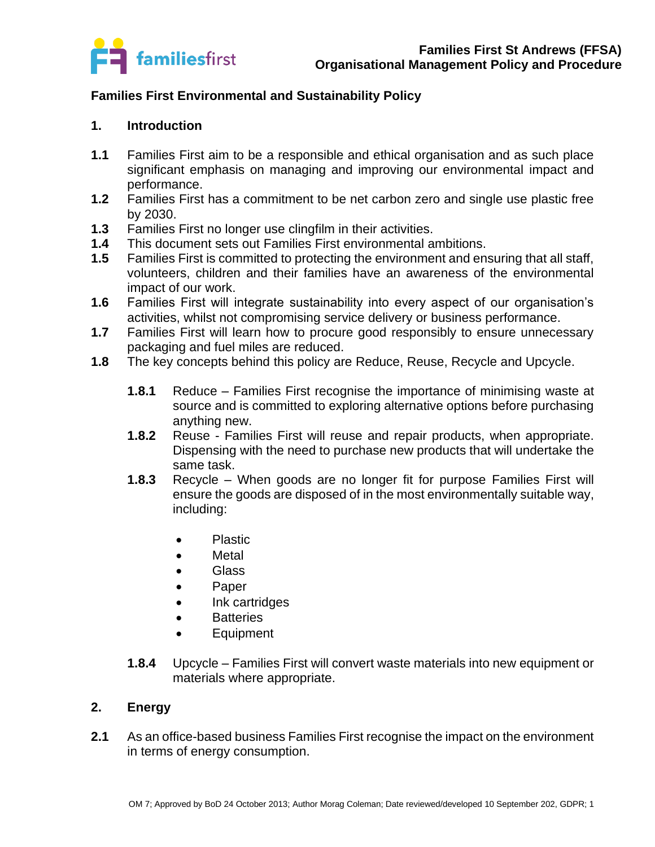

# **Families First Environmental and Sustainability Policy**

### **1. Introduction**

- **1.1** Families First aim to be a responsible and ethical organisation and as such place significant emphasis on managing and improving our environmental impact and performance.
- **1.2** Families First has a commitment to be net carbon zero and single use plastic free by 2030.
- **1.3** Families First no longer use clingfilm in their activities.
- **1.4** This document sets out Families First environmental ambitions.
- **1.5** Families First is committed to protecting the environment and ensuring that all staff, volunteers, children and their families have an awareness of the environmental impact of our work.
- **1.6** Families First will integrate sustainability into every aspect of our organisation's activities, whilst not compromising service delivery or business performance.
- **1.7** Families First will learn how to procure good responsibly to ensure unnecessary packaging and fuel miles are reduced.
- **1.8** The key concepts behind this policy are Reduce, Reuse, Recycle and Upcycle.
	- **1.8.1** Reduce Families First recognise the importance of minimising waste at source and is committed to exploring alternative options before purchasing anything new.
	- **1.8.2** Reuse Families First will reuse and repair products, when appropriate. Dispensing with the need to purchase new products that will undertake the same task.
	- **1.8.3** Recycle When goods are no longer fit for purpose Families First will ensure the goods are disposed of in the most environmentally suitable way, including:
		- Plastic
		- Metal
		- Glass
		- Paper
		- Ink cartridges
		- Batteries
		- Equipment
	- **1.8.4** Upcycle Families First will convert waste materials into new equipment or materials where appropriate.

# **2. Energy**

**2.1** As an office-based business Families First recognise the impact on the environment in terms of energy consumption.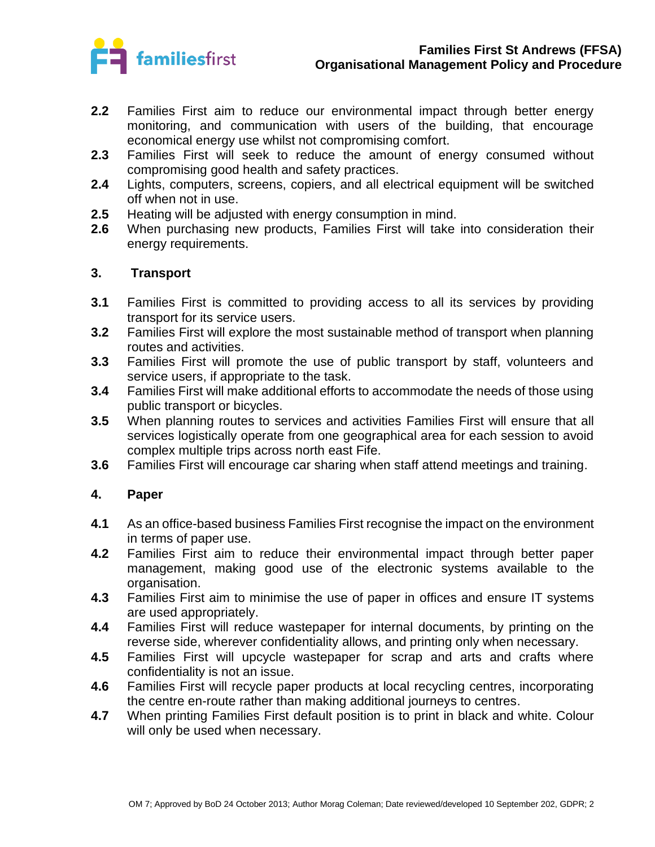

- **2.2** Families First aim to reduce our environmental impact through better energy monitoring, and communication with users of the building, that encourage economical energy use whilst not compromising comfort.
- **2.3** Families First will seek to reduce the amount of energy consumed without compromising good health and safety practices.
- **2.4** Lights, computers, screens, copiers, and all electrical equipment will be switched off when not in use.
- **2.5** Heating will be adjusted with energy consumption in mind.
- **2.6** When purchasing new products, Families First will take into consideration their energy requirements.

#### **3. Transport**

- **3.1** Families First is committed to providing access to all its services by providing transport for its service users.
- **3.2** Families First will explore the most sustainable method of transport when planning routes and activities.
- **3.3** Families First will promote the use of public transport by staff, volunteers and service users, if appropriate to the task.
- **3.4** Families First will make additional efforts to accommodate the needs of those using public transport or bicycles.
- **3.5** When planning routes to services and activities Families First will ensure that all services logistically operate from one geographical area for each session to avoid complex multiple trips across north east Fife.
- **3.6** Families First will encourage car sharing when staff attend meetings and training.

# **4. Paper**

- **4.1** As an office-based business Families First recognise the impact on the environment in terms of paper use.
- **4.2** Families First aim to reduce their environmental impact through better paper management, making good use of the electronic systems available to the organisation.
- **4.3** Families First aim to minimise the use of paper in offices and ensure IT systems are used appropriately.
- **4.4** Families First will reduce wastepaper for internal documents, by printing on the reverse side, wherever confidentiality allows, and printing only when necessary.
- **4.5** Families First will upcycle wastepaper for scrap and arts and crafts where confidentiality is not an issue.
- **4.6** Families First will recycle paper products at local recycling centres, incorporating the centre en-route rather than making additional journeys to centres.
- **4.7** When printing Families First default position is to print in black and white. Colour will only be used when necessary.